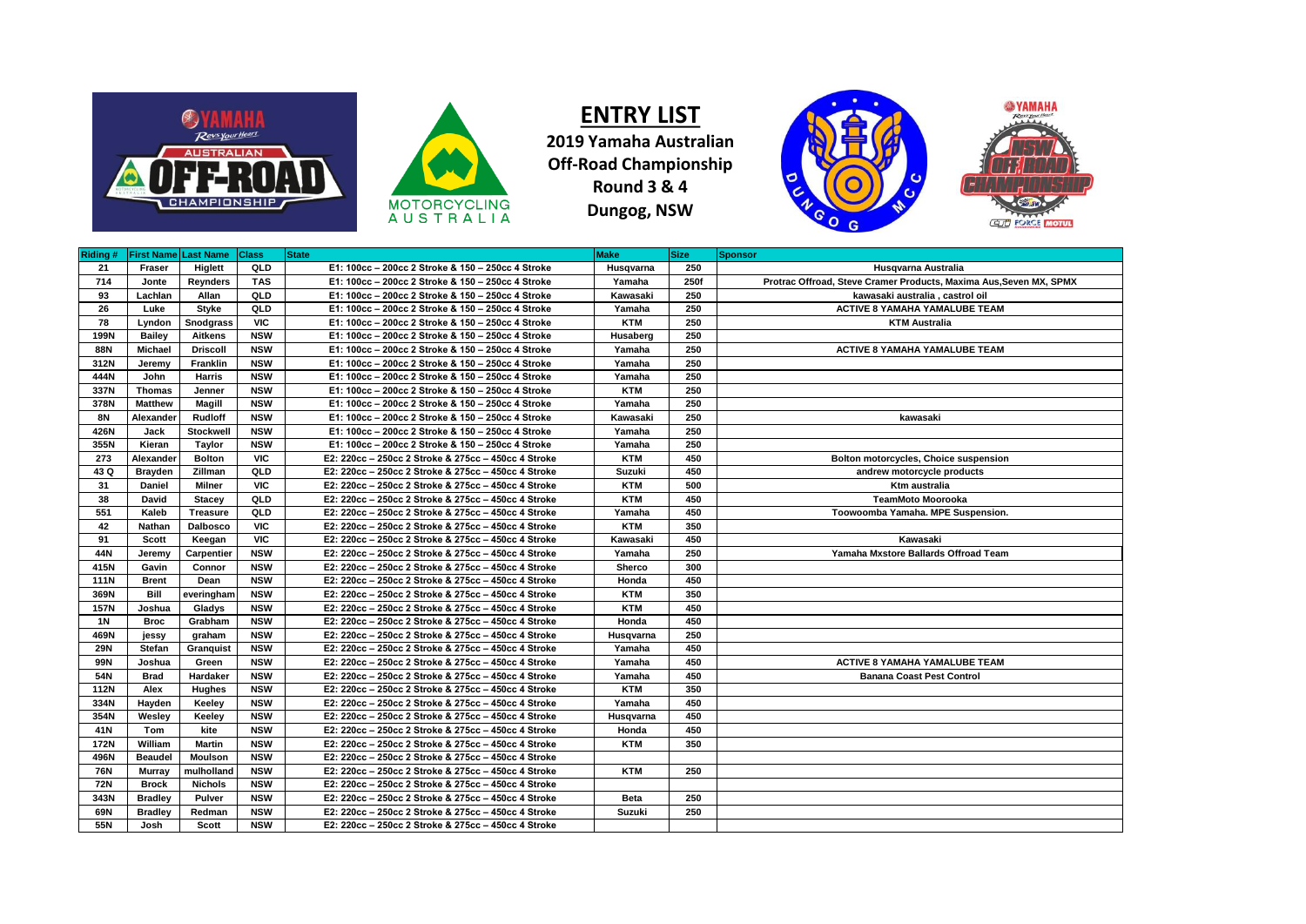



**ENTRY LIST 2019 Yamaha Australian Off-Road Championship Round 3 & 4 Dungog, NSW**



| Riding #    | <b>First Name Last Name</b> |                 | <b>Class</b> | <b>State</b>                                        | <b>Make</b>   | <b>Size</b> | <b>Sponsor</b>                                                     |
|-------------|-----------------------------|-----------------|--------------|-----------------------------------------------------|---------------|-------------|--------------------------------------------------------------------|
| 21          | Fraser                      | Higlett         | QLD          | E1: 100cc - 200cc 2 Stroke & 150 - 250cc 4 Stroke   | Husqvarna     | 250         | Husqvarna Australia                                                |
| 714         | Jonte                       | Reynders        | <b>TAS</b>   | E1: 100cc - 200cc 2 Stroke & 150 - 250cc 4 Stroke   | Yamaha        | 250f        | Protrac Offroad, Steve Cramer Products, Maxima Aus. Seven MX, SPMX |
| 93          | Lachlan                     | Allan           | QLD          | E1: 100cc - 200cc 2 Stroke & 150 - 250cc 4 Stroke   | Kawasaki      | 250         | kawasaki australia, castrol oil                                    |
| 26          | Luke                        | Styke           | QLD          | E1: 100cc - 200cc 2 Stroke & 150 - 250cc 4 Stroke   | Yamaha        | 250         | <b>ACTIVE 8 YAMAHA YAMALUBE TEAM</b>                               |
| 78          | Lyndon                      | Snodgrass       | <b>VIC</b>   | E1: 100cc - 200cc 2 Stroke & 150 - 250cc 4 Stroke   | <b>KTM</b>    | 250         | <b>KTM Australia</b>                                               |
| 199N        | <b>Bailey</b>               | <b>Aitkens</b>  | <b>NSW</b>   | E1: 100cc - 200cc 2 Stroke & 150 - 250cc 4 Stroke   | Husaberg      | 250         |                                                                    |
| 88N         | Michael                     | <b>Driscoll</b> | <b>NSW</b>   | E1: 100cc - 200cc 2 Stroke & 150 - 250cc 4 Stroke   | Yamaha        | 250         | <b>ACTIVE 8 YAMAHA YAMALUBE TEAM</b>                               |
| 312N        | Jeremy                      | Franklin        | <b>NSW</b>   | E1: 100cc - 200cc 2 Stroke & 150 - 250cc 4 Stroke   | Yamaha        | 250         |                                                                    |
| 444N        | John                        | <b>Harris</b>   | <b>NSW</b>   | E1: 100cc - 200cc 2 Stroke & 150 - 250cc 4 Stroke   | Yamaha        | 250         |                                                                    |
| 337N        | <b>Thomas</b>               | Jenner          | <b>NSW</b>   | E1: 100cc - 200cc 2 Stroke & 150 - 250cc 4 Stroke   | <b>KTM</b>    | 250         |                                                                    |
| 378N        | <b>Matthew</b>              | Magill          | <b>NSW</b>   | E1: 100cc - 200cc 2 Stroke & 150 - 250cc 4 Stroke   | Yamaha        | 250         |                                                                    |
| 8N          | Alexander                   | <b>Rudloff</b>  | <b>NSW</b>   | E1: 100cc - 200cc 2 Stroke & 150 - 250cc 4 Stroke   | Kawasaki      | 250         | kawasaki                                                           |
| 426N        | Jack                        | Stockwell       | <b>NSW</b>   | E1: 100cc - 200cc 2 Stroke & 150 - 250cc 4 Stroke   | Yamaha        | 250         |                                                                    |
| 355N        | Kieran                      | Taylor          | <b>NSW</b>   | E1: 100cc - 200cc 2 Stroke & 150 - 250cc 4 Stroke   | Yamaha        | 250         |                                                                    |
| 273         | Alexander                   | <b>Bolton</b>   | <b>VIC</b>   | E2: 220cc - 250cc 2 Stroke & 275cc - 450cc 4 Stroke | <b>KTM</b>    | 450         | Bolton motorcycles, Choice suspension                              |
| 43 Q        | <b>Brayden</b>              | Zillman         | QLD          | E2: 220cc - 250cc 2 Stroke & 275cc - 450cc 4 Stroke | Suzuki        | 450         | andrew motorcycle products                                         |
| 31          | Daniel                      | Milner          | <b>VIC</b>   | E2: 220cc - 250cc 2 Stroke & 275cc - 450cc 4 Stroke | <b>KTM</b>    | 500         | Ktm australia                                                      |
| 38          | David                       | <b>Stacey</b>   | QLD          | E2: 220cc - 250cc 2 Stroke & 275cc - 450cc 4 Stroke | <b>KTM</b>    | 450         | <b>TeamMoto Moorooka</b>                                           |
| 551         | Kaleb                       | <b>Treasure</b> | QLD          | E2: 220cc - 250cc 2 Stroke & 275cc - 450cc 4 Stroke | Yamaha        | 450         | Toowoomba Yamaha. MPE Suspension.                                  |
| 42          | Nathan                      | <b>Dalbosco</b> | <b>VIC</b>   | E2: 220cc - 250cc 2 Stroke & 275cc - 450cc 4 Stroke | <b>KTM</b>    | 350         |                                                                    |
| 91          | Scott                       | Keegan          | <b>VIC</b>   | E2: 220cc - 250cc 2 Stroke & 275cc - 450cc 4 Stroke | Kawasaki      | 450         | Kawasaki                                                           |
| 44N         | Jeremy                      | Carpentier      | <b>NSW</b>   | E2: 220cc - 250cc 2 Stroke & 275cc - 450cc 4 Stroke | Yamaha        | 250         | Yamaha Mxstore Ballards Offroad Team                               |
| 415N        | Gavin                       | Connor          | <b>NSW</b>   | E2: 220cc - 250cc 2 Stroke & 275cc - 450cc 4 Stroke | Sherco        | 300         |                                                                    |
| <b>111N</b> | <b>Brent</b>                | Dean            | <b>NSW</b>   | E2: 220cc - 250cc 2 Stroke & 275cc - 450cc 4 Stroke | Honda         | 450         |                                                                    |
| 369N        | Bill                        | everingham      | <b>NSW</b>   | E2: 220cc - 250cc 2 Stroke & 275cc - 450cc 4 Stroke | <b>KTM</b>    | 350         |                                                                    |
| <b>157N</b> | Joshua                      | Gladys          | <b>NSW</b>   | E2: 220cc - 250cc 2 Stroke & 275cc - 450cc 4 Stroke | <b>KTM</b>    | 450         |                                                                    |
| <b>1N</b>   | <b>Broc</b>                 | Grabham         | <b>NSW</b>   | E2: 220cc - 250cc 2 Stroke & 275cc - 450cc 4 Stroke | Honda         | 450         |                                                                    |
| 469N        | jessy                       | graham          | <b>NSW</b>   | E2: 220cc - 250cc 2 Stroke & 275cc - 450cc 4 Stroke | Husqvarna     | 250         |                                                                    |
| <b>29N</b>  | <b>Stefan</b>               | Granquist       | <b>NSW</b>   | E2: 220cc - 250cc 2 Stroke & 275cc - 450cc 4 Stroke | Yamaha        | 450         |                                                                    |
| <b>99N</b>  | Joshua                      | Green           | <b>NSW</b>   | E2: 220cc - 250cc 2 Stroke & 275cc - 450cc 4 Stroke | Yamaha        | 450         | <b>ACTIVE 8 YAMAHA YAMALUBE TEAM</b>                               |
| 54N         | <b>Brad</b>                 | Hardaker        | <b>NSW</b>   | E2: 220cc - 250cc 2 Stroke & 275cc - 450cc 4 Stroke | Yamaha        | 450         | <b>Banana Coast Pest Control</b>                                   |
| <b>112N</b> | Alex                        | Hughes          | <b>NSW</b>   | E2: 220cc - 250cc 2 Stroke & 275cc - 450cc 4 Stroke | <b>KTM</b>    | 350         |                                                                    |
| 334N        | Hayden                      | Keeley          | <b>NSW</b>   | E2: 220cc - 250cc 2 Stroke & 275cc - 450cc 4 Stroke | Yamaha        | 450         |                                                                    |
| 354N        | Wesley                      | Keeley          | <b>NSW</b>   | E2: 220cc - 250cc 2 Stroke & 275cc - 450cc 4 Stroke | Husqvarna     | 450         |                                                                    |
| 41N         | Tom                         | kite            | <b>NSW</b>   | E2: 220cc - 250cc 2 Stroke & 275cc - 450cc 4 Stroke | Honda         | 450         |                                                                    |
| <b>172N</b> | William                     | <b>Martin</b>   | <b>NSW</b>   | E2: 220cc - 250cc 2 Stroke & 275cc - 450cc 4 Stroke | <b>KTM</b>    | 350         |                                                                    |
| 496N        | <b>Beaudel</b>              | <b>Moulson</b>  | <b>NSW</b>   | E2: 220cc - 250cc 2 Stroke & 275cc - 450cc 4 Stroke |               |             |                                                                    |
| 76N         | Murray                      | mulholland      | <b>NSW</b>   | E2: 220cc - 250cc 2 Stroke & 275cc - 450cc 4 Stroke | <b>KTM</b>    | 250         |                                                                    |
| <b>72N</b>  | <b>Brock</b>                | <b>Nichols</b>  | <b>NSW</b>   | E2: 220cc - 250cc 2 Stroke & 275cc - 450cc 4 Stroke |               |             |                                                                    |
| 343N        | <b>Bradley</b>              | Pulver          | <b>NSW</b>   | E2: 220cc - 250cc 2 Stroke & 275cc - 450cc 4 Stroke | <b>Beta</b>   | 250         |                                                                    |
| 69N         | <b>Bradley</b>              | Redman          | <b>NSW</b>   | E2: 220cc - 250cc 2 Stroke & 275cc - 450cc 4 Stroke | <b>Suzuki</b> | 250         |                                                                    |
| 55N         | Josh                        | Scott           | <b>NSW</b>   | E2: 220cc - 250cc 2 Stroke & 275cc - 450cc 4 Stroke |               |             |                                                                    |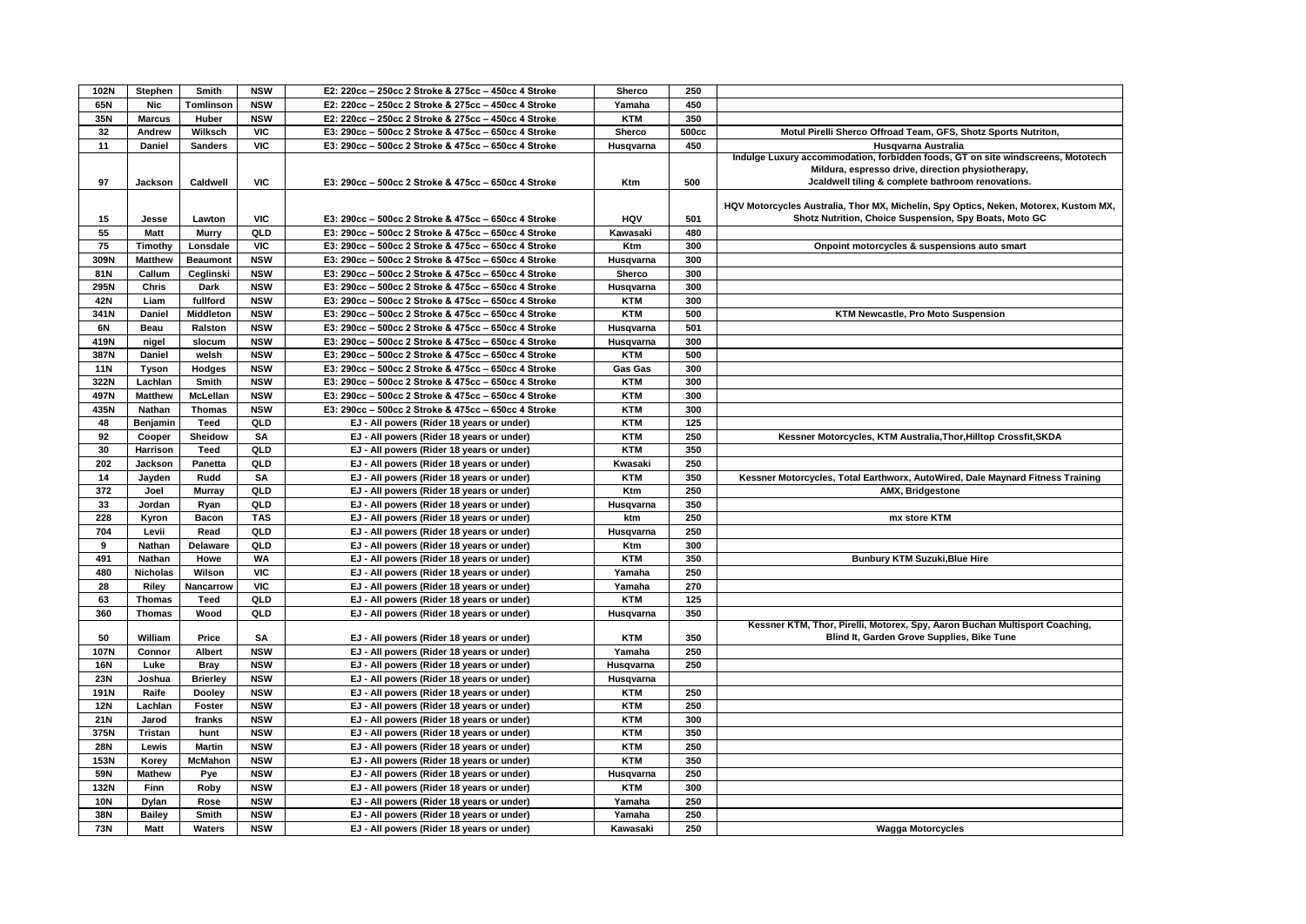| 102N       | Stephen         | Smith                           | <b>NSW</b> | E2: 220cc - 250cc 2 Stroke & 275cc - 450cc 4 Stroke                                    | Sherco     | 250   |                                                                                      |
|------------|-----------------|---------------------------------|------------|----------------------------------------------------------------------------------------|------------|-------|--------------------------------------------------------------------------------------|
| 65N        | Nic             | Tomlinson                       | <b>NSW</b> | E2: 220cc - 250cc 2 Stroke & 275cc - 450cc 4 Stroke                                    | Yamaha     | 450   |                                                                                      |
| 35N        | <b>Marcus</b>   | Huber                           | <b>NSW</b> | E2: 220cc - 250cc 2 Stroke & 275cc - 450cc 4 Stroke                                    | <b>KTM</b> | 350   |                                                                                      |
| 32         | Andrew          | Wilksch                         | <b>VIC</b> | E3: 290cc - 500cc 2 Stroke & 475cc - 650cc 4 Stroke                                    | Sherco     | 500cc | Motul Pirelli Sherco Offroad Team, GFS, Shotz Sports Nutriton,                       |
| 11         | Daniel          | <b>Sanders</b>                  | VIC        | E3: 290cc - 500cc 2 Stroke & 475cc - 650cc 4 Stroke                                    | Husqvarna  | 450   | Husqvarna Australia                                                                  |
|            |                 |                                 |            |                                                                                        |            |       | Indulge Luxury accommodation, forbidden foods, GT on site windscreens, Mototech      |
|            |                 |                                 |            |                                                                                        |            |       | Mildura, espresso drive, direction physiotherapy,                                    |
| 97         | Jackson         | Caldwell                        | <b>VIC</b> | E3: 290cc - 500cc 2 Stroke & 475cc - 650cc 4 Stroke                                    | Ktm        | 500   | Jcaldwell tiling & complete bathroom renovations.                                    |
|            |                 |                                 |            |                                                                                        |            |       |                                                                                      |
|            |                 |                                 |            |                                                                                        |            |       | HQV Motorcycles Australia, Thor MX, Michelin, Spy Optics, Neken, Motorex, Kustom MX, |
| 15         | Jesse           | Lawton                          | <b>VIC</b> | E3: 290cc - 500cc 2 Stroke & 475cc - 650cc 4 Stroke                                    | <b>HOV</b> | 501   | Shotz Nutrition, Choice Suspension, Spy Boats, Moto GC                               |
| 55         | <b>Matt</b>     | <b>Murry</b>                    | QLD        | E3: 290cc - 500cc 2 Stroke & 475cc - 650cc 4 Stroke                                    | Kawasaki   | 480   |                                                                                      |
| 75         | Timothy         | Lonsdale                        | <b>VIC</b> | E3: 290cc - 500cc 2 Stroke & 475cc - 650cc 4 Stroke                                    | Ktm        | 300   | Onpoint motorcycles & suspensions auto smart                                         |
| 309N       | <b>Matthew</b>  | <b>Beaumont</b>                 | <b>NSW</b> | E3: 290cc - 500cc 2 Stroke & 475cc - 650cc 4 Stroke                                    | Husqvarna  | 300   |                                                                                      |
| 81N        | Callum          | Ceglinski                       | <b>NSW</b> | E3: 290cc - 500cc 2 Stroke & 475cc - 650cc 4 Stroke                                    | Sherco     | 300   |                                                                                      |
| 295N       | Chris           | Dark                            | <b>NSW</b> | E3: 290cc - 500cc 2 Stroke & 475cc - 650cc 4 Stroke                                    | Husqvarna  | 300   |                                                                                      |
| 42N        | Liam            | fullford                        | <b>NSW</b> | E3: 290cc - 500cc 2 Stroke & 475cc - 650cc 4 Stroke                                    | <b>KTM</b> | 300   |                                                                                      |
| 341N       | Daniel          | <b>Middleton</b>                | <b>NSW</b> | E3: 290cc - 500cc 2 Stroke & 475cc - 650cc 4 Stroke                                    | <b>KTM</b> | 500   | <b>KTM Newcastle, Pro Moto Suspension</b>                                            |
| 6N         | Beau            | Ralston                         | <b>NSW</b> | E3: 290cc - 500cc 2 Stroke & 475cc - 650cc 4 Stroke                                    | Husqvarna  | 501   |                                                                                      |
| 419N       | nigel           | slocum                          | <b>NSW</b> | E3: 290cc - 500cc 2 Stroke & 475cc - 650cc 4 Stroke                                    | Husqvarna  | 300   |                                                                                      |
| 387N       | Daniel          | welsh                           | <b>NSW</b> | E3: 290cc - 500cc 2 Stroke & 475cc - 650cc 4 Stroke                                    | <b>KTM</b> | 500   |                                                                                      |
| <b>11N</b> | Tyson           | Hodges                          | <b>NSW</b> | E3: 290cc - 500cc 2 Stroke & 475cc - 650cc 4 Stroke                                    | Gas Gas    | 300   |                                                                                      |
|            |                 |                                 |            |                                                                                        |            |       |                                                                                      |
| 322N       | Lachlan         | Smith                           | <b>NSW</b> | E3: 290cc - 500cc 2 Stroke & 475cc - 650cc 4 Stroke                                    | <b>KTM</b> | 300   |                                                                                      |
| 497N       | <b>Matthew</b>  | McLellan                        | <b>NSW</b> | E3: 290cc - 500cc 2 Stroke & 475cc - 650cc 4 Stroke                                    | <b>KTM</b> | 300   |                                                                                      |
| 435N       | Nathan          | <b>Thomas</b>                   | <b>NSW</b> | E3: 290cc - 500cc 2 Stroke & 475cc - 650cc 4 Stroke                                    | <b>KTM</b> | 300   |                                                                                      |
| 48         | Benjamin        | <b>Teed</b>                     | QLD        | EJ - All powers (Rider 18 years or under)                                              | <b>KTM</b> | 125   |                                                                                      |
| 92         | Cooper          | Sheidow                         | SA         | EJ - All powers (Rider 18 years or under)                                              | <b>KTM</b> | 250   | Kessner Motorcycles, KTM Australia, Thor, Hilltop Crossfit, SKDA                     |
| 30         | Harrison        | <b>Teed</b>                     | QLD        | EJ - All powers (Rider 18 years or under)                                              | <b>KTM</b> | 350   |                                                                                      |
| 202        | Jackson         | Panetta                         | QLD        | EJ - All powers (Rider 18 years or under)                                              | Kwasaki    | 250   |                                                                                      |
| 14         | Jayden          | Rudd                            | SA         | EJ - All powers (Rider 18 years or under)                                              | <b>KTM</b> | 350   | Kessner Motorcycles, Total Earthworx, AutoWired, Dale Maynard Fitness Training       |
| 372        | Joel            | <b>Murray</b>                   | QLD        | EJ - All powers (Rider 18 years or under)                                              | Ktm        | 250   | AMX, Bridgestone                                                                     |
| 33         | Jordan          | Ryan                            | QLD        | EJ - All powers (Rider 18 years or under)                                              | Husqvarna  | 350   |                                                                                      |
| 228        | Kyron           | <b>Bacon</b>                    | <b>TAS</b> | EJ - All powers (Rider 18 years or under)                                              | ktm        | 250   | mx store KTM                                                                         |
| 704        | Levii           | Read                            | QLD        | EJ - All powers (Rider 18 years or under)                                              | Husqvarna  | 250   |                                                                                      |
| 9          | <b>Nathan</b>   | Delaware                        | QLD        | EJ - All powers (Rider 18 years or under)                                              | Ktm        | 300   |                                                                                      |
| 491        | Nathan          | Howe                            | <b>WA</b>  | EJ - All powers (Rider 18 years or under)                                              | <b>KTM</b> | 350   | <b>Bunbury KTM Suzuki, Blue Hire</b>                                                 |
| 480        | <b>Nicholas</b> | Wilson                          | <b>VIC</b> | EJ - All powers (Rider 18 years or under)                                              | Yamaha     | 250   |                                                                                      |
| 28         | Riley           | Nancarrow                       | VIC        | EJ - All powers (Rider 18 years or under)                                              | Yamaha     | 270   |                                                                                      |
| 63         | <b>Thomas</b>   | <b>Teed</b>                     | QLD        | EJ - All powers (Rider 18 years or under)                                              | <b>KTM</b> | 125   |                                                                                      |
| 360        | <b>Thomas</b>   | Wood                            | QLD        | EJ - All powers (Rider 18 years or under)                                              | Husqvarna  | 350   |                                                                                      |
|            |                 |                                 |            |                                                                                        |            |       | Kessner KTM, Thor, Pirelli, Motorex, Spy, Aaron Buchan Multisport Coaching,          |
| 50         | William         | Price                           | SΑ         | EJ - All powers (Rider 18 years or under)                                              | <b>KTM</b> | 350   | Blind It, Garden Grove Supplies, Bike Tune                                           |
| 107N       | Connor          | Albert                          | <b>NSW</b> | EJ - All powers (Rider 18 years or under)                                              | Yamaha     | 250   |                                                                                      |
| <b>16N</b> | Luke            | <b>Bray</b>                     | <b>NSW</b> | EJ - All powers (Rider 18 years or under)                                              | Husqvarna  | 250   |                                                                                      |
| <b>23N</b> | Joshua          | <b>Brierley</b>                 | <b>NSW</b> | EJ - All powers (Rider 18 years or under)                                              | Husqvarna  |       |                                                                                      |
| 191N       | Raife           | Dooley                          | <b>NSW</b> | EJ - All powers (Rider 18 years or under)                                              | <b>KTM</b> | 250   |                                                                                      |
| <b>12N</b> | Lachlan         | Foster                          | <b>NSW</b> | EJ - All powers (Rider 18 years or under)                                              | <b>KTM</b> | 250   |                                                                                      |
| 21N        | Jarod           | franks                          | <b>NSW</b> | EJ - All powers (Rider 18 years or under)                                              | <b>KTM</b> | 300   |                                                                                      |
| 375N       | Tristan         | hunt                            | <b>NSW</b> | EJ - All powers (Rider 18 years or under)                                              | <b>KTM</b> | 350   |                                                                                      |
| <b>28N</b> | Lewis           |                                 | <b>NSW</b> |                                                                                        | <b>KTM</b> | 250   |                                                                                      |
| 153N       |                 | <b>Martin</b><br><b>McMahon</b> | <b>NSW</b> | EJ - All powers (Rider 18 years or under)<br>EJ - All powers (Rider 18 years or under) | <b>KTM</b> | 350   |                                                                                      |
|            | Korey           |                                 |            |                                                                                        |            |       |                                                                                      |
| 59N        | <b>Mathew</b>   | Pye                             | <b>NSW</b> | EJ - All powers (Rider 18 years or under)                                              | Husqvarna  | 250   |                                                                                      |
| 132N       | Finn            | Roby                            | <b>NSW</b> | EJ - All powers (Rider 18 years or under)                                              | <b>KTM</b> | 300   |                                                                                      |
| <b>10N</b> | <b>Dylan</b>    | Rose                            | <b>NSW</b> | EJ - All powers (Rider 18 years or under)                                              | Yamaha     | 250   |                                                                                      |
| 38N        | <b>Bailey</b>   | Smith                           | <b>NSW</b> | EJ - All powers (Rider 18 years or under)                                              | Yamaha     | 250   |                                                                                      |
| <b>73N</b> | <b>Matt</b>     | Waters                          | <b>NSW</b> | EJ - All powers (Rider 18 years or under)                                              | Kawasaki   | 250   | <b>Wagga Motorcycles</b>                                                             |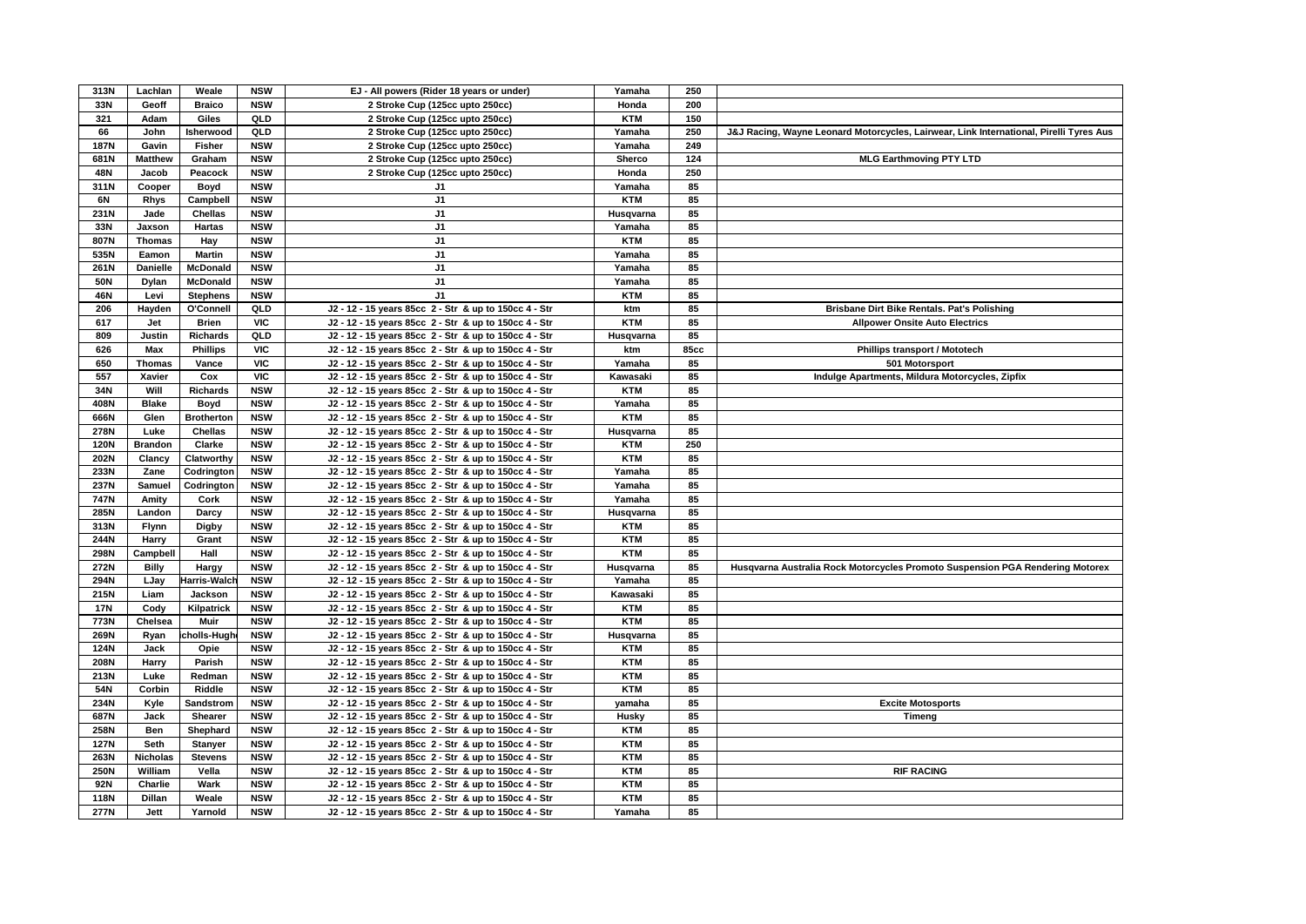| 313N        | Lachlan         | Weale             | <b>NSW</b> | EJ - All powers (Rider 18 years or under)             | Yamaha     | 250         |                                                                                        |
|-------------|-----------------|-------------------|------------|-------------------------------------------------------|------------|-------------|----------------------------------------------------------------------------------------|
| 33N         | Geoff           | <b>Braico</b>     | <b>NSW</b> | 2 Stroke Cup (125cc upto 250cc)                       | Honda      | 200         |                                                                                        |
| 321         | Adam            | Giles             | QLD        | 2 Stroke Cup (125cc upto 250cc)                       | <b>KTM</b> | 150         |                                                                                        |
| 66          | John            | Isherwood         | <b>QLD</b> | 2 Stroke Cup (125cc upto 250cc)                       | Yamaha     | 250         | J&J Racing, Wayne Leonard Motorcycles, Lairwear, Link International, Pirelli Tyres Aus |
| <b>187N</b> | Gavin           | <b>Fisher</b>     | <b>NSW</b> | 2 Stroke Cup (125cc upto 250cc)                       | Yamaha     | 249         |                                                                                        |
| 681N        | <b>Matthew</b>  | Graham            | <b>NSW</b> | 2 Stroke Cup (125cc upto 250cc)                       | Sherco     | 124         | <b>MLG Earthmoving PTY LTD</b>                                                         |
| 48N         | Jacob           | Peacock           | <b>NSW</b> | 2 Stroke Cup (125cc upto 250cc)                       | Honda      | 250         |                                                                                        |
| 311N        | Cooper          | Boyd              | <b>NSW</b> | J1                                                    | Yamaha     | 85          |                                                                                        |
| 6N          | <b>Rhys</b>     | Campbell          | <b>NSW</b> | J <sub>1</sub>                                        | <b>KTM</b> | 85          |                                                                                        |
| 231N        | Jade            | Chellas           | <b>NSW</b> | J <sub>1</sub>                                        | Husqvarna  | 85          |                                                                                        |
| 33N         | Jaxson          | Hartas            | <b>NSW</b> | J1                                                    | Yamaha     | 85          |                                                                                        |
| 807N        | <b>Thomas</b>   | Hay               | <b>NSW</b> | J <sub>1</sub>                                        | <b>KTM</b> | 85          |                                                                                        |
| 535N        | Eamon           | <b>Martin</b>     | <b>NSW</b> | J1                                                    | Yamaha     | 85          |                                                                                        |
| 261N        | <b>Danielle</b> | <b>McDonald</b>   | <b>NSW</b> | J1                                                    | Yamaha     | 85          |                                                                                        |
| <b>50N</b>  |                 |                   |            | J <sub>1</sub>                                        |            | 85          |                                                                                        |
|             | Dylan           | <b>McDonald</b>   | <b>NSW</b> |                                                       | Yamaha     |             |                                                                                        |
| 46N         | Levi            | <b>Stephens</b>   | <b>NSW</b> | J <sub>1</sub>                                        | <b>KTM</b> | 85          |                                                                                        |
| 206         | Hayden          | O'Connell         | QLD        | J2 - 12 - 15 years 85cc 2 - Str & up to 150cc 4 - Str | ktm        | 85          | Brisbane Dirt Bike Rentals. Pat's Polishing                                            |
| 617         | Jet             | <b>Brien</b>      | <b>VIC</b> | J2 - 12 - 15 years 85cc 2 - Str & up to 150cc 4 - Str | <b>KTM</b> | 85          | <b>Allpower Onsite Auto Electrics</b>                                                  |
| 809         | Justin          | <b>Richards</b>   | QLD        | J2 - 12 - 15 years 85cc 2 - Str & up to 150cc 4 - Str | Husqvarna  | 85          |                                                                                        |
| 626         | Max             | <b>Phillips</b>   | <b>VIC</b> | J2 - 12 - 15 years 85cc 2 - Str & up to 150cc 4 - Str | ktm        | <b>85cc</b> | Phillips transport / Mototech                                                          |
| 650         | <b>Thomas</b>   | Vance             | <b>VIC</b> | J2 - 12 - 15 years 85cc 2 - Str & up to 150cc 4 - Str | Yamaha     | 85          | 501 Motorsport                                                                         |
| 557         | Xavier          | Cox               | <b>VIC</b> | J2 - 12 - 15 years 85cc 2 - Str & up to 150cc 4 - Str | Kawasaki   | 85          | Indulge Apartments, Mildura Motorcycles, Zipfix                                        |
| 34N         | Will            | <b>Richards</b>   | <b>NSW</b> | J2 - 12 - 15 years 85cc 2 - Str & up to 150cc 4 - Str | <b>KTM</b> | 85          |                                                                                        |
| 408N        | <b>Blake</b>    | Boyd              | <b>NSW</b> | J2 - 12 - 15 years 85cc 2 - Str & up to 150cc 4 - Str | Yamaha     | 85          |                                                                                        |
| 666N        | Glen            | <b>Brotherton</b> | <b>NSW</b> | J2 - 12 - 15 years 85cc 2 - Str & up to 150cc 4 - Str | <b>KTM</b> | 85          |                                                                                        |
| 278N        | Luke            | Chellas           | <b>NSW</b> | J2 - 12 - 15 years 85cc 2 - Str & up to 150cc 4 - Str | Husqvarna  | 85          |                                                                                        |
| 120N        | <b>Brandon</b>  | Clarke            | <b>NSW</b> | J2 - 12 - 15 years 85cc 2 - Str & up to 150cc 4 - Str | <b>KTM</b> | 250         |                                                                                        |
| 202N        | Clancy          | Clatworthy        | <b>NSW</b> | J2 - 12 - 15 years 85cc 2 - Str & up to 150cc 4 - Str | <b>KTM</b> | 85          |                                                                                        |
| 233N        | Zane            | Codrington        | <b>NSW</b> | J2 - 12 - 15 years 85cc 2 - Str & up to 150cc 4 - Str | Yamaha     | 85          |                                                                                        |
| 237N        | Samuel          | Codrington        | <b>NSW</b> | J2 - 12 - 15 years 85cc 2 - Str & up to 150cc 4 - Str | Yamaha     | 85          |                                                                                        |
| 747N        | Amity           | Cork              | <b>NSW</b> | J2 - 12 - 15 years 85cc 2 - Str & up to 150cc 4 - Str | Yamaha     | 85          |                                                                                        |
| 285N        | Landon          | Darcy             | <b>NSW</b> | J2 - 12 - 15 years 85cc 2 - Str & up to 150cc 4 - Str | Husqvarna  | 85          |                                                                                        |
| 313N        | <b>Flynn</b>    | <b>Digby</b>      | <b>NSW</b> | J2 - 12 - 15 years 85cc 2 - Str & up to 150cc 4 - Str | <b>KTM</b> | 85          |                                                                                        |
| 244N        | Harry           | Grant             | <b>NSW</b> | J2 - 12 - 15 years 85cc 2 - Str & up to 150cc 4 - Str | <b>KTM</b> | 85          |                                                                                        |
| 298N        | Campbell        | Hall              | <b>NSW</b> | J2 - 12 - 15 years 85cc 2 - Str & up to 150cc 4 - Str | <b>KTM</b> | 85          |                                                                                        |
| 272N        | <b>Billy</b>    | Hargy             | <b>NSW</b> | J2 - 12 - 15 years 85cc 2 - Str & up to 150cc 4 - Str | Husqvarna  | 85          | Husqvarna Australia Rock Motorcycles Promoto Suspension PGA Rendering Motorex          |
| 294N        | LJay            | Harris-Walcl      | <b>NSW</b> | J2 - 12 - 15 years 85cc 2 - Str & up to 150cc 4 - Str | Yamaha     | 85          |                                                                                        |
| 215N        | Liam            | Jackson           | <b>NSW</b> | J2 - 12 - 15 years 85cc 2 - Str & up to 150cc 4 - Str | Kawasaki   | 85          |                                                                                        |
| <b>17N</b>  | Cody            | Kilpatrick        | <b>NSW</b> | J2 - 12 - 15 years 85cc 2 - Str & up to 150cc 4 - Str | <b>KTM</b> | 85          |                                                                                        |
| 773N        | Chelsea         | Muir              | <b>NSW</b> | J2 - 12 - 15 years 85cc 2 - Str & up to 150cc 4 - Str | <b>KTM</b> | 85          |                                                                                        |
| 269N        | Ryan            | cholls-Hugh       | <b>NSW</b> | J2 - 12 - 15 years 85cc 2 - Str & up to 150cc 4 - Str | Husqvarna  | 85          |                                                                                        |
| 124N        | Jack            |                   | <b>NSW</b> | J2 - 12 - 15 years 85cc 2 - Str & up to 150cc 4 - Str | <b>KTM</b> | 85          |                                                                                        |
|             |                 | Opie              |            |                                                       |            |             |                                                                                        |
| 208N        | Harry           | Parish            | <b>NSW</b> | J2 - 12 - 15 years 85cc 2 - Str & up to 150cc 4 - Str | <b>KTM</b> | 85          |                                                                                        |
| 213N        | Luke            | Redman            | <b>NSW</b> | J2 - 12 - 15 years 85cc 2 - Str & up to 150cc 4 - Str | <b>KTM</b> | 85          |                                                                                        |
| 54N         | Corbin          | Riddle            | <b>NSW</b> | J2 - 12 - 15 years 85cc 2 - Str & up to 150cc 4 - Str | <b>KTM</b> | 85          |                                                                                        |
| 234N        | Kyle            | Sandstrom         | <b>NSW</b> | J2 - 12 - 15 years 85cc 2 - Str & up to 150cc 4 - Str | yamaha     | 85          | <b>Excite Motosports</b>                                                               |
| 687N        | Jack            | Shearer           | <b>NSW</b> | J2 - 12 - 15 years 85cc 2 - Str & up to 150cc 4 - Str | Husky      | 85          | Timeng                                                                                 |
| 258N        | Ben             | Shephard          | <b>NSW</b> | J2 - 12 - 15 years 85cc 2 - Str & up to 150cc 4 - Str | <b>KTM</b> | 85          |                                                                                        |
| <b>127N</b> | Seth            | <b>Stanyer</b>    | <b>NSW</b> | J2 - 12 - 15 years 85cc 2 - Str & up to 150cc 4 - Str | <b>KTM</b> | 85          |                                                                                        |
| 263N        | Nicholas        | <b>Stevens</b>    | <b>NSW</b> | J2 - 12 - 15 years 85cc 2 - Str & up to 150cc 4 - Str | <b>KTM</b> | 85          |                                                                                        |
| 250N        | William         | Vella             | <b>NSW</b> | J2 - 12 - 15 years 85cc 2 - Str & up to 150cc 4 - Str | <b>KTM</b> | 85          | <b>RIF RACING</b>                                                                      |
| 92N         | Charlie         | Wark              | <b>NSW</b> | J2 - 12 - 15 years 85cc 2 - Str & up to 150cc 4 - Str | <b>KTM</b> | 85          |                                                                                        |
| <b>118N</b> | <b>Dillan</b>   | Weale             | <b>NSW</b> | J2 - 12 - 15 years 85cc 2 - Str & up to 150cc 4 - Str | <b>KTM</b> | 85          |                                                                                        |
| 277N        | Jett            | Yarnold           | <b>NSW</b> | J2 - 12 - 15 years 85cc 2 - Str & up to 150cc 4 - Str | Yamaha     | 85          |                                                                                        |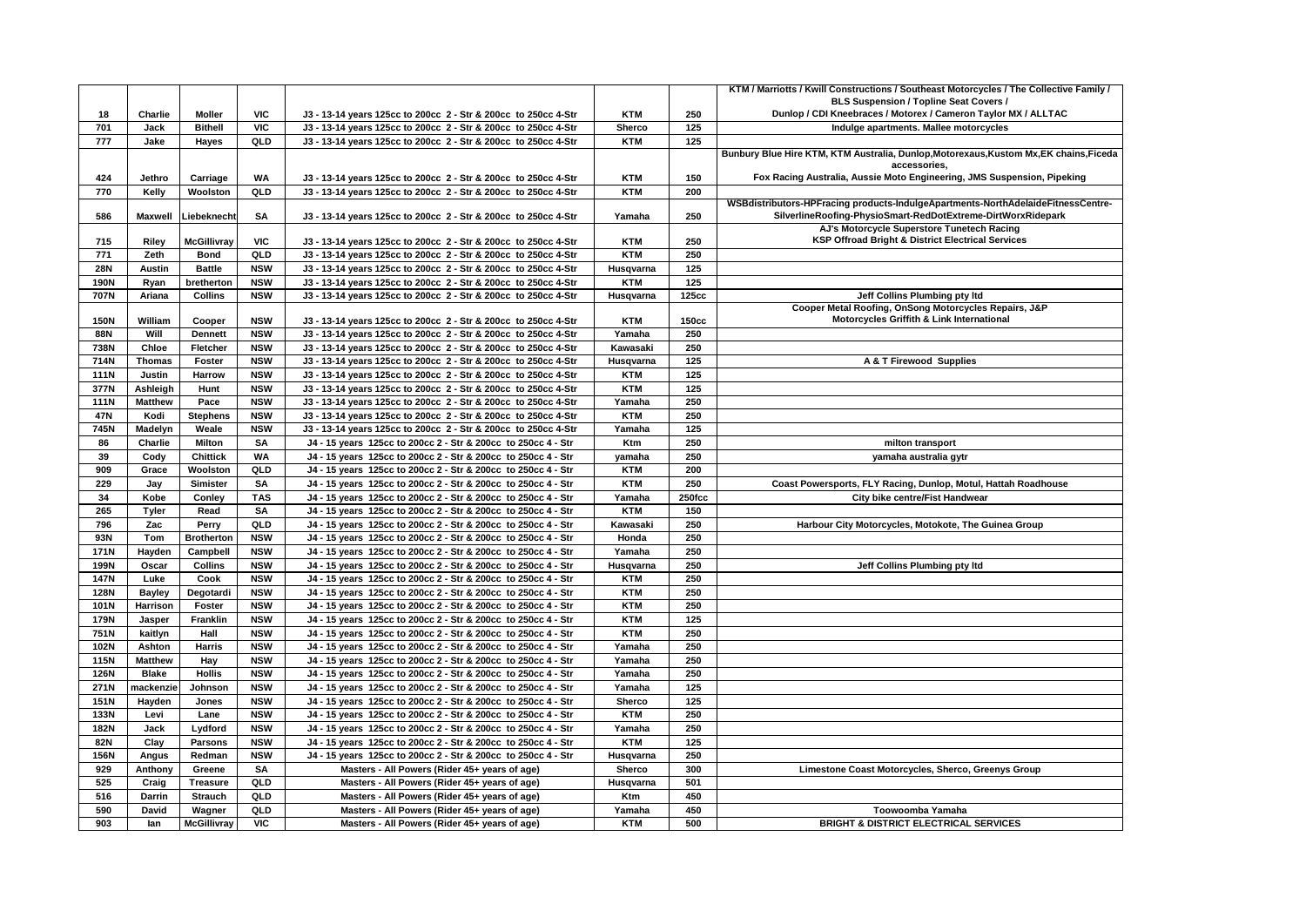|                           |                 |                          |            |                                                                                                                                  |                      |            | KTM / Marriotts / Kwill Constructions / Southeast Motorcycles / The Collective Family /                |
|---------------------------|-----------------|--------------------------|------------|----------------------------------------------------------------------------------------------------------------------------------|----------------------|------------|--------------------------------------------------------------------------------------------------------|
|                           |                 |                          |            |                                                                                                                                  |                      |            | BLS Suspension / Topline Seat Covers /                                                                 |
| 18                        | Charlie         | Moller                   | <b>VIC</b> | J3 - 13-14 years 125cc to 200cc 2 - Str & 200cc to 250cc 4-Str                                                                   | <b>KTM</b>           | 250        | Dunlop / CDI Kneebraces / Motorex / Cameron Taylor MX / ALLTAC                                         |
| 701                       | Jack            | <b>Bithell</b>           | VIC        | J3 - 13-14 years 125cc to 200cc 2 - Str & 200cc to 250cc 4-Str                                                                   | Sherco               | 125        | Indulge apartments. Mallee motorcycles                                                                 |
| 777                       | Jake            | Hayes                    | QLD        | J3 - 13-14 years 125cc to 200cc 2 - Str & 200cc to 250cc 4-Str                                                                   | <b>KTM</b>           | 125        |                                                                                                        |
|                           |                 |                          |            |                                                                                                                                  |                      |            | Bunbury Blue Hire KTM, KTM Australia, Dunlop, Motorexaus, Kustom Mx, EK chains, Ficeda<br>accessories. |
| 424                       | Jethro          | Carriage                 | WA         | J3 - 13-14 years 125cc to 200cc 2 - Str & 200cc to 250cc 4-Str                                                                   | <b>KTM</b>           | 150        | Fox Racing Australia, Aussie Moto Engineering, JMS Suspension, Pipeking                                |
| 770                       | Kelly           | Woolston                 | QLD        | J3 - 13-14 years 125cc to 200cc 2 - Str & 200cc to 250cc 4-Str                                                                   | <b>KTM</b>           | 200        |                                                                                                        |
|                           |                 |                          |            |                                                                                                                                  |                      |            | WSBdistributors-HPFracing products-IndulgeApartments-NorthAdelaideFitnessCentre-                       |
| 586                       | <b>Maxwell</b>  | Liebeknecht              | <b>SA</b>  | J3 - 13-14 years 125cc to 200cc 2 - Str & 200cc to 250cc 4-Str                                                                   | Yamaha               | 250        | SilverlineRoofing-PhysioSmart-RedDotExtreme-DirtWorxRidepark                                           |
|                           |                 |                          |            |                                                                                                                                  |                      |            | AJ's Motorcycle Superstore Tunetech Racing                                                             |
| 715                       | Riley           | <b>McGillivray</b>       | <b>VIC</b> | J3 - 13-14 years 125cc to 200cc 2 - Str & 200cc to 250cc 4-Str                                                                   | <b>KTM</b>           | 250        | KSP Offroad Bright & District Electrical Services                                                      |
| 771                       | Zeth            | <b>Bond</b>              | QLD        | J3 - 13-14 years 125cc to 200cc 2 - Str & 200cc to 250cc 4-Str                                                                   | <b>KTM</b>           | 250        |                                                                                                        |
| <b>28N</b>                | Austin          | <b>Battle</b>            | <b>NSW</b> | J3 - 13-14 years 125cc to 200cc 2 - Str & 200cc to 250cc 4-Str                                                                   | Husqvarna            | 125        |                                                                                                        |
| 190N                      | Ryan            | bretherton               | <b>NSW</b> | J3 - 13-14 years 125cc to 200cc 2 - Str & 200cc to 250cc 4-Str                                                                   | <b>KTM</b>           | 125        |                                                                                                        |
| 707N                      | Ariana          | <b>Collins</b>           | <b>NSW</b> | J3 - 13-14 years 125cc to 200cc 2 - Str & 200cc to 250cc 4-Str                                                                   | Husqvarna            | 125cc      | Jeff Collins Plumbing pty Itd                                                                          |
|                           |                 |                          | <b>NSW</b> |                                                                                                                                  |                      | 150cc      | Cooper Metal Roofing, OnSong Motorcycles Repairs, J&P<br>Motorcycles Griffith & Link International     |
| <b>150N</b><br><b>88N</b> | William<br>Will | Cooper<br><b>Dennett</b> | <b>NSW</b> | J3 - 13-14 years 125cc to 200cc 2 - Str & 200cc to 250cc 4-Str<br>J3 - 13-14 years 125cc to 200cc 2 - Str & 200cc to 250cc 4-Str | <b>KTM</b><br>Yamaha | 250        |                                                                                                        |
|                           |                 |                          | <b>NSW</b> |                                                                                                                                  | Kawasaki             |            |                                                                                                        |
| 738N<br>714N              | Chloe           | Fletcher                 | <b>NSW</b> | J3 - 13-14 years 125cc to 200cc 2 - Str & 200cc to 250cc 4-Str                                                                   |                      | 250<br>125 |                                                                                                        |
|                           | <b>Thomas</b>   | Foster                   |            | J3 - 13-14 years 125cc to 200cc 2 - Str & 200cc to 250cc 4-Str                                                                   | Husqvarna            |            | A & T Firewood Supplies                                                                                |
| <b>111N</b>               | Justin          | Harrow                   | <b>NSW</b> | J3 - 13-14 years 125cc to 200cc 2 - Str & 200cc to 250cc 4-Str                                                                   | <b>KTM</b>           | 125        |                                                                                                        |
| 377N                      | Ashleigh        | Hunt                     | <b>NSW</b> | J3 - 13-14 years 125cc to 200cc 2 - Str & 200cc to 250cc 4-Str                                                                   | <b>KTM</b>           | 125        |                                                                                                        |
| <b>111N</b>               | <b>Matthew</b>  | Pace                     | <b>NSW</b> | J3 - 13-14 years 125cc to 200cc 2 - Str & 200cc to 250cc 4-Str                                                                   | Yamaha               | 250        |                                                                                                        |
| 47N                       | Kodi            | <b>Stephens</b>          | <b>NSW</b> | J3 - 13-14 years 125cc to 200cc 2 - Str & 200cc to 250cc 4-Str                                                                   | <b>KTM</b>           | 250        |                                                                                                        |
| 745N                      | Madelyn         | Weale                    | <b>NSW</b> | J3 - 13-14 years 125cc to 200cc 2 - Str & 200cc to 250cc 4-Str                                                                   | Yamaha               | 125        |                                                                                                        |
| 86                        | Charlie         | <b>Milton</b>            | <b>SA</b>  | J4 - 15 years 125cc to 200cc 2 - Str & 200cc to 250cc 4 - Str                                                                    | Ktm                  | 250        | milton transport                                                                                       |
| 39                        | Cody            | <b>Chittick</b>          | <b>WA</b>  | J4 - 15 years 125cc to 200cc 2 - Str & 200cc to 250cc 4 - Str                                                                    | yamaha               | 250        | yamaha australia gytr                                                                                  |
| 909                       | Grace           | Woolston                 | QLD        | J4 - 15 years 125cc to 200cc 2 - Str & 200cc to 250cc 4 - Str                                                                    | <b>KTM</b>           | 200        |                                                                                                        |
| 229                       | Jay             | Simister                 | <b>SA</b>  | J4 - 15 years 125cc to 200cc 2 - Str & 200cc to 250cc 4 - Str                                                                    | <b>KTM</b>           | 250        | Coast Powersports, FLY Racing, Dunlop, Motul, Hattah Roadhouse                                         |
| 34                        | Kobe            | Conley                   | <b>TAS</b> | J4 - 15 years 125cc to 200cc 2 - Str & 200cc to 250cc 4 - Str                                                                    | Yamaha               | 250fcc     | City bike centre/Fist Handwear                                                                         |
| 265                       | Tyler           | Read                     | <b>SA</b>  | J4 - 15 years 125cc to 200cc 2 - Str & 200cc to 250cc 4 - Str                                                                    | <b>KTM</b>           | 150        |                                                                                                        |
| 796                       | Zac             | Perry                    | QLD        | J4 - 15 years 125cc to 200cc 2 - Str & 200cc to 250cc 4 - Str                                                                    | Kawasaki             | 250        | Harbour City Motorcycles, Motokote, The Guinea Group                                                   |
| 93N                       | Tom             | <b>Brotherton</b>        | <b>NSW</b> | J4 - 15 years 125cc to 200cc 2 - Str & 200cc to 250cc 4 - Str                                                                    | Honda                | 250        |                                                                                                        |
| <b>171N</b>               | Hayden          | Campbell                 | <b>NSW</b> | J4 - 15 years 125cc to 200cc 2 - Str & 200cc to 250cc 4 - Str                                                                    | Yamaha               | 250        |                                                                                                        |
| 199N                      | Oscar           | <b>Collins</b>           | <b>NSW</b> | J4 - 15 years 125cc to 200cc 2 - Str & 200cc to 250cc 4 - Str                                                                    | Husqvarna            | 250        | Jeff Collins Plumbing pty Itd                                                                          |
| <b>147N</b>               | Luke            | Cook                     | <b>NSW</b> | J4 - 15 years 125cc to 200cc 2 - Str & 200cc to 250cc 4 - Str                                                                    | <b>KTM</b>           | 250        |                                                                                                        |
| 128N                      | <b>Bayley</b>   | Degotardi                | <b>NSW</b> | J4 - 15 years 125cc to 200cc 2 - Str & 200cc to 250cc 4 - Str                                                                    | <b>KTM</b>           | 250        |                                                                                                        |
| 101N                      | Harrison        | Foster                   | <b>NSW</b> | J4 - 15 years 125cc to 200cc 2 - Str & 200cc to 250cc 4 - Str                                                                    | <b>KTM</b>           | 250        |                                                                                                        |
| 179N                      | Jasper          | Franklin                 | <b>NSW</b> | J4 - 15 years 125cc to 200cc 2 - Str & 200cc to 250cc 4 - Str                                                                    | <b>KTM</b>           | 125        |                                                                                                        |
| 751N                      | kaitlyn         | Hall                     | <b>NSW</b> | J4 - 15 years 125cc to 200cc 2 - Str & 200cc to 250cc 4 - Str                                                                    | <b>KTM</b>           | 250        |                                                                                                        |
| 102N                      | Ashton          | <b>Harris</b>            | <b>NSW</b> | J4 - 15 years 125cc to 200cc 2 - Str & 200cc to 250cc 4 - Str                                                                    | Yamaha               | 250        |                                                                                                        |
| 115N                      | <b>Matthew</b>  | Hay                      | <b>NSW</b> | J4 - 15 years 125cc to 200cc 2 - Str & 200cc to 250cc 4 - Str                                                                    | Yamaha               | 250        |                                                                                                        |
| 126N                      | <b>Blake</b>    | <b>Hollis</b>            | <b>NSW</b> | J4 - 15 years 125cc to 200cc 2 - Str & 200cc to 250cc 4 - Str                                                                    | Yamaha               | 250        |                                                                                                        |
| 271N                      | mackenzie       | Johnson                  | <b>NSW</b> | J4 - 15 years 125cc to 200cc 2 - Str & 200cc to 250cc 4 - Str                                                                    | Yamaha               | 125        |                                                                                                        |
| <b>151N</b>               | Hayden          | Jones                    | <b>NSW</b> | J4 - 15 years 125cc to 200cc 2 - Str & 200cc to 250cc 4 - Str                                                                    | Sherco               | 125        |                                                                                                        |
| 133N                      | Levi            | Lane                     | <b>NSW</b> | J4 - 15 years 125cc to 200cc 2 - Str & 200cc to 250cc 4 - Str                                                                    | <b>KTM</b>           | 250        |                                                                                                        |
| 182N                      | Jack            | Lydford                  | <b>NSW</b> | J4 - 15 years 125cc to 200cc 2 - Str & 200cc to 250cc 4 - Str                                                                    | Yamaha               | 250        |                                                                                                        |
| 82N                       | Clay            | <b>Parsons</b>           | <b>NSW</b> | J4 - 15 years 125cc to 200cc 2 - Str & 200cc to 250cc 4 - Str                                                                    | <b>KTM</b>           | 125        |                                                                                                        |
| 156N                      | Angus           | Redman                   | <b>NSW</b> | J4 - 15 years 125cc to 200cc 2 - Str & 200cc to 250cc 4 - Str                                                                    | Husqvarna            | 250        |                                                                                                        |
| 929                       | Anthony         | Greene                   | <b>SA</b>  | Masters - All Powers (Rider 45+ years of age)                                                                                    | Sherco               | 300        | Limestone Coast Motorcycles, Sherco, Greenys Group                                                     |
| 525                       | Craig           | Treasure                 | QLD        | Masters - All Powers (Rider 45+ years of age)                                                                                    | Husqvarna            | 501        |                                                                                                        |
| 516                       | Darrin          | <b>Strauch</b>           | QLD        | Masters - All Powers (Rider 45+ years of age)                                                                                    | Ktm                  | 450        |                                                                                                        |
| 590                       | David           | Wagner                   | QLD        | Masters - All Powers (Rider 45+ years of age)                                                                                    | Yamaha               | 450        | Toowoomba Yamaha                                                                                       |
| 903                       | lan             | <b>McGillivray</b>       | <b>VIC</b> | Masters - All Powers (Rider 45+ years of age)                                                                                    | <b>KTM</b>           | 500        | <b>BRIGHT &amp; DISTRICT ELECTRICAL SERVICES</b>                                                       |